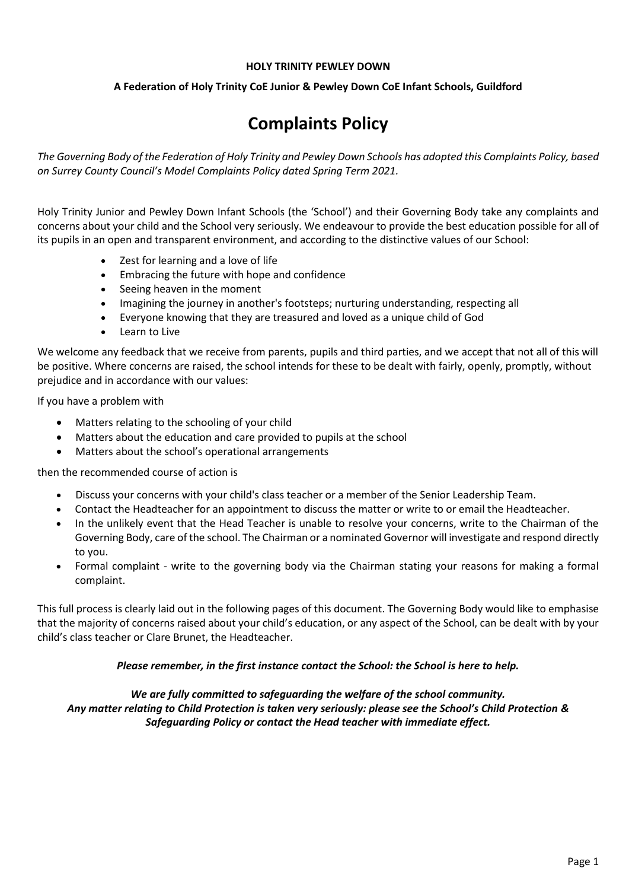#### **HOLY TRINITY PEWLEY DOWN**

# **A Federation of Holy Trinity CoE Junior & Pewley Down CoE Infant Schools, Guildford**

# **Complaints Policy**

*The Governing Body of the Federation of Holy Trinity and Pewley Down Schools has adopted this Complaints Policy, based on Surrey County Council's Model Complaints Policy dated Spring Term 2021.* 

Holy Trinity Junior and Pewley Down Infant Schools (the 'School') and their Governing Body take any complaints and concerns about your child and the School very seriously. We endeavour to provide the best education possible for all of its pupils in an open and transparent environment, and according to the distinctive values of our School:

- Zest for learning and a love of life
- Embracing the future with hope and confidence
- Seeing heaven in the moment
- Imagining the journey in another's footsteps; nurturing understanding, respecting all
- Everyone knowing that they are treasured and loved as a unique child of God
- Learn to Live

We welcome any feedback that we receive from parents, pupils and third parties, and we accept that not all of this will be positive. Where concerns are raised, the school intends for these to be dealt with fairly, openly, promptly, without prejudice and in accordance with our values:

If you have a problem with

- Matters relating to the schooling of your child
- Matters about the education and care provided to pupils at the school
- Matters about the school's operational arrangements

then the recommended course of action is

- Discuss your concerns with your child's class teacher or a member of the Senior Leadership Team.
- Contact the Headteacher for an appointment to discuss the matter or write to or email the Headteacher.
- In the unlikely event that the Head Teacher is unable to resolve your concerns, write to the Chairman of the Governing Body, care of the school. The Chairman or a nominated Governor will investigate and respond directly to you.
- Formal complaint write to the governing body via the Chairman stating your reasons for making a formal complaint.

This full process is clearly laid out in the following pages of this document. The Governing Body would like to emphasise that the majority of concerns raised about your child's education, or any aspect of the School, can be dealt with by your child's class teacher or Clare Brunet, the Headteacher.

## *Please remember, in the first instance contact the School: the School is here to help.*

*We are fully committed to safeguarding the welfare of the school community. Any matter relating to Child Protection is taken very seriously: please see the School's Child Protection & Safeguarding Policy or contact the Head teacher with immediate effect.*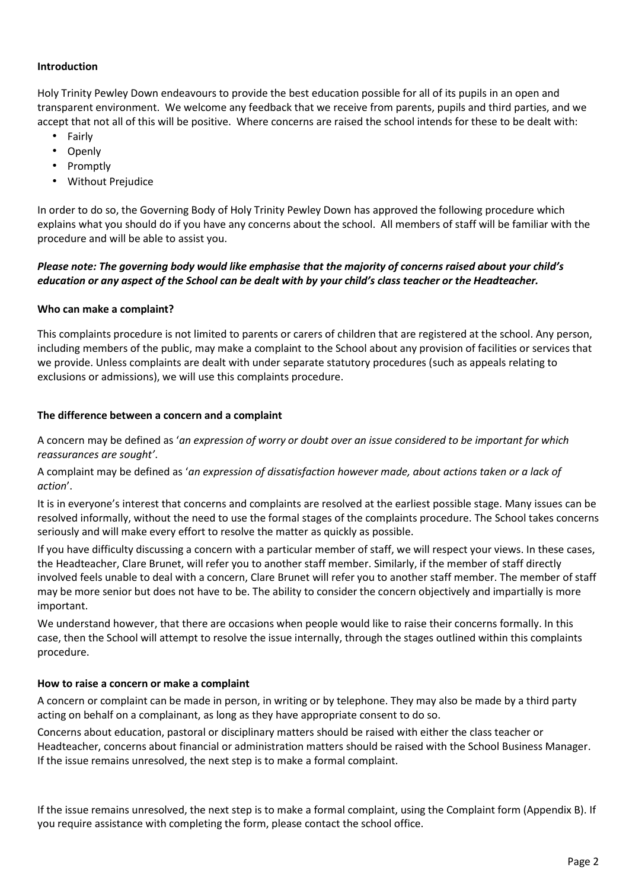## **Introduction**

Holy Trinity Pewley Down endeavours to provide the best education possible for all of its pupils in an open and transparent environment. We welcome any feedback that we receive from parents, pupils and third parties, and we accept that not all of this will be positive. Where concerns are raised the school intends for these to be dealt with:

- Fairly
- Openly
- Promptly
- Without Prejudice

In order to do so, the Governing Body of Holy Trinity Pewley Down has approved the following procedure which explains what you should do if you have any concerns about the school. All members of staff will be familiar with the procedure and will be able to assist you.

# *Please note: The governing body would like emphasise that the majority of concerns raised about your child's education or any aspect of the School can be dealt with by your child's class teacher or the Headteacher.*

## **Who can make a complaint?**

This complaints procedure is not limited to parents or carers of children that are registered at the school. Any person, including members of the public, may make a complaint to the School about any provision of facilities or services that we provide. Unless complaints are dealt with under separate statutory procedures (such as appeals relating to exclusions or admissions), we will use this complaints procedure.

## **The difference between a concern and a complaint**

A concern may be defined as '*an expression of worry or doubt over an issue considered to be important for which reassurances are sought'*.

A complaint may be defined as '*an expression of dissatisfaction however made, about actions taken or a lack of action*'.

It is in everyone's interest that concerns and complaints are resolved at the earliest possible stage. Many issues can be resolved informally, without the need to use the formal stages of the complaints procedure. The School takes concerns seriously and will make every effort to resolve the matter as quickly as possible.

If you have difficulty discussing a concern with a particular member of staff, we will respect your views. In these cases, the Headteacher, Clare Brunet, will refer you to another staff member. Similarly, if the member of staff directly involved feels unable to deal with a concern, Clare Brunet will refer you to another staff member. The member of staff may be more senior but does not have to be. The ability to consider the concern objectively and impartially is more important.

We understand however, that there are occasions when people would like to raise their concerns formally. In this case, then the School will attempt to resolve the issue internally, through the stages outlined within this complaints procedure.

## **How to raise a concern or make a complaint**

A concern or complaint can be made in person, in writing or by telephone. They may also be made by a third party acting on behalf on a complainant, as long as they have appropriate consent to do so.

Concerns about education, pastoral or disciplinary matters should be raised with either the class teacher or Headteacher, concerns about financial or administration matters should be raised with the School Business Manager. If the issue remains unresolved, the next step is to make a formal complaint.

If the issue remains unresolved, the next step is to make a formal complaint, using the Complaint form (Appendix B). If you require assistance with completing the form, please contact the school office.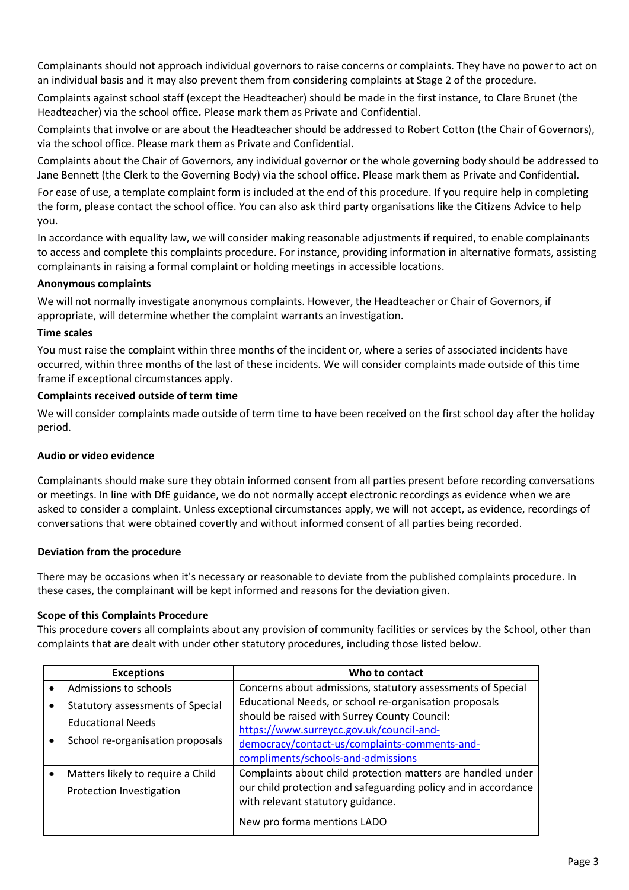Complainants should not approach individual governors to raise concerns or complaints. They have no power to act on an individual basis and it may also prevent them from considering complaints at Stage 2 of the procedure.

Complaints against school staff (except the Headteacher) should be made in the first instance, to Clare Brunet (the Headteacher) via the school office*.* Please mark them as Private and Confidential.

Complaints that involve or are about the Headteacher should be addressed to Robert Cotton (the Chair of Governors), via the school office. Please mark them as Private and Confidential.

Complaints about the Chair of Governors, any individual governor or the whole governing body should be addressed to Jane Bennett (the Clerk to the Governing Body) via the school office. Please mark them as Private and Confidential.

For ease of use, a template complaint form is included at the end of this procedure. If you require help in completing the form, please contact the school office. You can also ask third party organisations like the Citizens Advice to help you.

In accordance with equality law, we will consider making reasonable adjustments if required, to enable complainants to access and complete this complaints procedure. For instance, providing information in alternative formats, assisting complainants in raising a formal complaint or holding meetings in accessible locations.

## **Anonymous complaints**

We will not normally investigate anonymous complaints. However, the Headteacher or Chair of Governors, if appropriate, will determine whether the complaint warrants an investigation.

## **Time scales**

You must raise the complaint within three months of the incident or, where a series of associated incidents have occurred, within three months of the last of these incidents. We will consider complaints made outside of this time frame if exceptional circumstances apply.

## **Complaints received outside of term time**

We will consider complaints made outside of term time to have been received on the first school day after the holiday period.

# **Audio or video evidence**

Complainants should make sure they obtain informed consent from all parties present before recording conversations or meetings. In line with DfE guidance, we do not normally accept electronic recordings as evidence when we are asked to consider a complaint. Unless exceptional circumstances apply, we will not accept, as evidence, recordings of conversations that were obtained covertly and without informed consent of all parties being recorded.

## **Deviation from the procedure**

There may be occasions when it's necessary or reasonable to deviate from the published complaints procedure. In these cases, the complainant will be kept informed and reasons for the deviation given.

## **Scope of this Complaints Procedure**

This procedure covers all complaints about any provision of community facilities or services by the School, other than complaints that are dealt with under other statutory procedures, including those listed below.

|  | <b>Exceptions</b>                                                                                       | Who to contact                                                 |
|--|---------------------------------------------------------------------------------------------------------|----------------------------------------------------------------|
|  | Admissions to schools                                                                                   | Concerns about admissions, statutory assessments of Special    |
|  | <b>Statutory assessments of Special</b><br><b>Educational Needs</b><br>School re-organisation proposals | Educational Needs, or school re-organisation proposals         |
|  |                                                                                                         | should be raised with Surrey County Council:                   |
|  |                                                                                                         | https://www.surreycc.gov.uk/council-and-                       |
|  |                                                                                                         | democracy/contact-us/complaints-comments-and-                  |
|  |                                                                                                         | compliments/schools-and-admissions                             |
|  | Matters likely to require a Child                                                                       | Complaints about child protection matters are handled under    |
|  | Protection Investigation                                                                                | our child protection and safeguarding policy and in accordance |
|  |                                                                                                         | with relevant statutory guidance.                              |
|  |                                                                                                         | New pro forma mentions LADO                                    |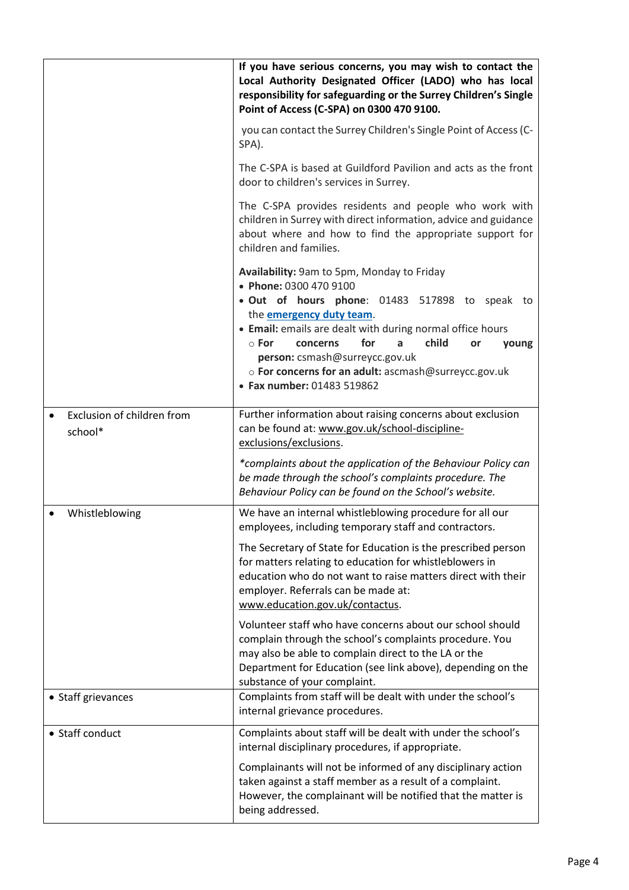|                                       | If you have serious concerns, you may wish to contact the<br>Local Authority Designated Officer (LADO) who has local<br>responsibility for safeguarding or the Surrey Children's Single<br>Point of Access (C-SPA) on 0300 470 9100.                                                                                                                                                                           |  |  |
|---------------------------------------|----------------------------------------------------------------------------------------------------------------------------------------------------------------------------------------------------------------------------------------------------------------------------------------------------------------------------------------------------------------------------------------------------------------|--|--|
|                                       | you can contact the Surrey Children's Single Point of Access (C-<br>SPA).                                                                                                                                                                                                                                                                                                                                      |  |  |
|                                       | The C-SPA is based at Guildford Pavilion and acts as the front<br>door to children's services in Surrey.                                                                                                                                                                                                                                                                                                       |  |  |
|                                       | The C-SPA provides residents and people who work with<br>children in Surrey with direct information, advice and guidance<br>about where and how to find the appropriate support for<br>children and families.                                                                                                                                                                                                  |  |  |
|                                       | Availability: 9am to 5pm, Monday to Friday<br>• Phone: 0300 470 9100<br>. Out of hours phone: 01483 517898 to speak to<br>the <b>emergency duty team</b> .<br>• Email: emails are dealt with during normal office hours<br>for<br>child<br>$\circ$ For<br>concerns<br>a<br>or<br>young<br>person: csmash@surreycc.gov.uk<br>o For concerns for an adult: ascmash@surreycc.gov.uk<br>• Fax number: 01483 519862 |  |  |
| Exclusion of children from<br>school* | Further information about raising concerns about exclusion<br>can be found at: www.gov.uk/school-discipline-<br>exclusions/exclusions.                                                                                                                                                                                                                                                                         |  |  |
|                                       | *complaints about the application of the Behaviour Policy can<br>be made through the school's complaints procedure. The<br>Behaviour Policy can be found on the School's website.                                                                                                                                                                                                                              |  |  |
| Whistleblowing                        | We have an internal whistleblowing procedure for all our<br>employees, including temporary staff and contractors.                                                                                                                                                                                                                                                                                              |  |  |
|                                       | The Secretary of State for Education is the prescribed person<br>for matters relating to education for whistleblowers in<br>education who do not want to raise matters direct with their<br>employer. Referrals can be made at:<br>www.education.gov.uk/contactus.                                                                                                                                             |  |  |
|                                       | Volunteer staff who have concerns about our school should<br>complain through the school's complaints procedure. You<br>may also be able to complain direct to the LA or the<br>Department for Education (see link above), depending on the<br>substance of your complaint.                                                                                                                                    |  |  |
| • Staff grievances                    | Complaints from staff will be dealt with under the school's<br>internal grievance procedures.                                                                                                                                                                                                                                                                                                                  |  |  |
| • Staff conduct                       | Complaints about staff will be dealt with under the school's<br>internal disciplinary procedures, if appropriate.                                                                                                                                                                                                                                                                                              |  |  |
|                                       | Complainants will not be informed of any disciplinary action<br>taken against a staff member as a result of a complaint.<br>However, the complainant will be notified that the matter is<br>being addressed.                                                                                                                                                                                                   |  |  |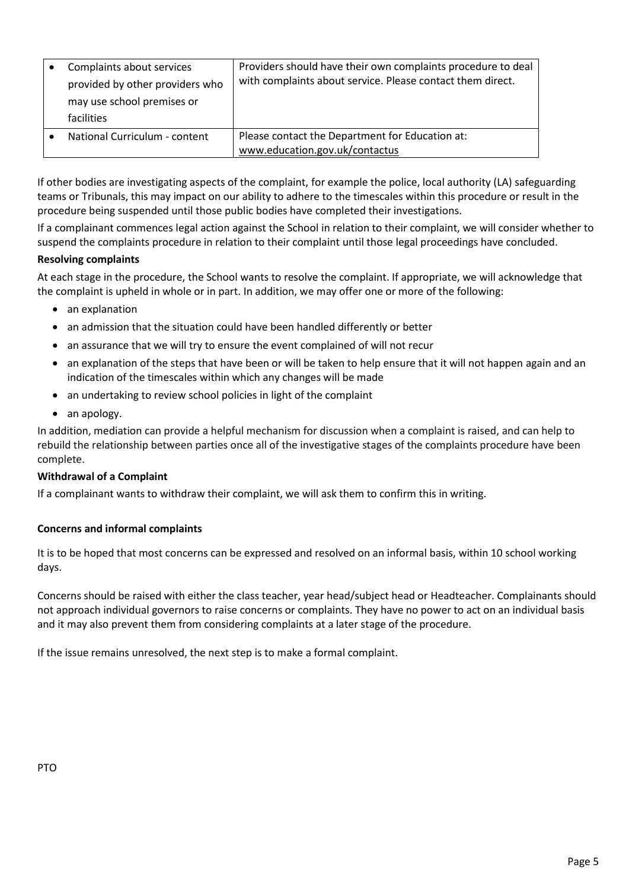| Complaints about services<br>provided by other providers who<br>may use school premises or<br>facilities | Providers should have their own complaints procedure to deal<br>with complaints about service. Please contact them direct. |
|----------------------------------------------------------------------------------------------------------|----------------------------------------------------------------------------------------------------------------------------|
| National Curriculum - content                                                                            | Please contact the Department for Education at:<br>www.education.gov.uk/contactus                                          |

If other bodies are investigating aspects of the complaint, for example the police, local authority (LA) safeguarding teams or Tribunals, this may impact on our ability to adhere to the timescales within this procedure or result in the procedure being suspended until those public bodies have completed their investigations.

If a complainant commences legal action against the School in relation to their complaint, we will consider whether to suspend the complaints procedure in relation to their complaint until those legal proceedings have concluded.

# **Resolving complaints**

At each stage in the procedure, the School wants to resolve the complaint. If appropriate, we will acknowledge that the complaint is upheld in whole or in part. In addition, we may offer one or more of the following:

- an explanation
- an admission that the situation could have been handled differently or better
- an assurance that we will try to ensure the event complained of will not recur
- an explanation of the steps that have been or will be taken to help ensure that it will not happen again and an indication of the timescales within which any changes will be made
- an undertaking to review school policies in light of the complaint
- an apology.

In addition, mediation can provide a helpful mechanism for discussion when a complaint is raised, and can help to rebuild the relationship between parties once all of the investigative stages of the complaints procedure have been complete.

## **Withdrawal of a Complaint**

If a complainant wants to withdraw their complaint, we will ask them to confirm this in writing.

# **Concerns and informal complaints**

It is to be hoped that most concerns can be expressed and resolved on an informal basis, within 10 school working days.

Concerns should be raised with either the class teacher, year head/subject head or Headteacher. Complainants should not approach individual governors to raise concerns or complaints. They have no power to act on an individual basis and it may also prevent them from considering complaints at a later stage of the procedure.

If the issue remains unresolved, the next step is to make a formal complaint.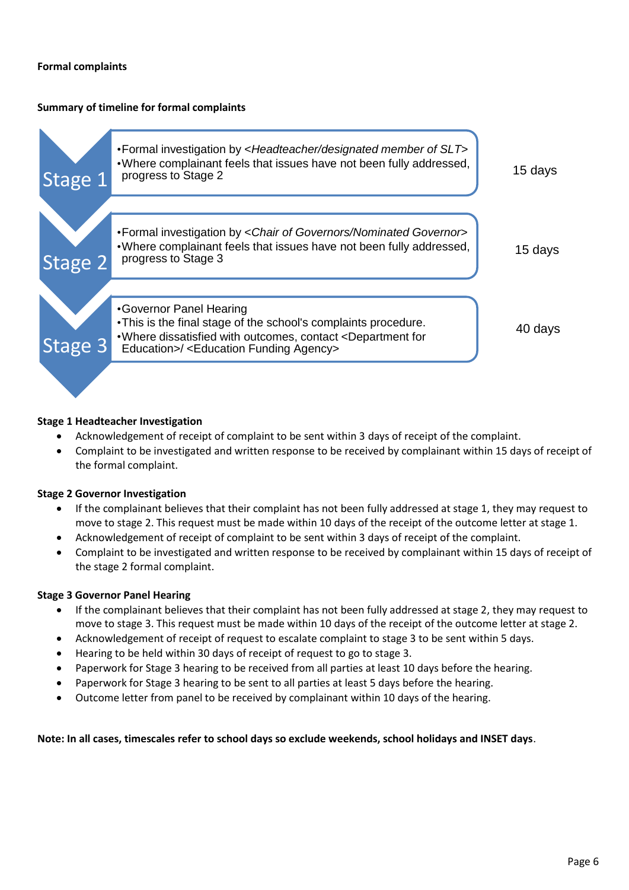## **Formal complaints**

## **Summary of timeline for formal complaints**



## **Stage 1 Headteacher Investigation**

- Acknowledgement of receipt of complaint to be sent within 3 days of receipt of the complaint.
- Complaint to be investigated and written response to be received by complainant within 15 days of receipt of the formal complaint.

## **Stage 2 Governor Investigation**

- If the complainant believes that their complaint has not been fully addressed at stage 1, they may request to move to stage 2. This request must be made within 10 days of the receipt of the outcome letter at stage 1.
- Acknowledgement of receipt of complaint to be sent within 3 days of receipt of the complaint.
- Complaint to be investigated and written response to be received by complainant within 15 days of receipt of the stage 2 formal complaint.

## **Stage 3 Governor Panel Hearing**

- If the complainant believes that their complaint has not been fully addressed at stage 2, they may request to move to stage 3. This request must be made within 10 days of the receipt of the outcome letter at stage 2.
- Acknowledgement of receipt of request to escalate complaint to stage 3 to be sent within 5 days.
- Hearing to be held within 30 days of receipt of request to go to stage 3.
- Paperwork for Stage 3 hearing to be received from all parties at least 10 days before the hearing.
- Paperwork for Stage 3 hearing to be sent to all parties at least 5 days before the hearing.
- Outcome letter from panel to be received by complainant within 10 days of the hearing.

## **Note: In all cases, timescales refer to school days so exclude weekends, school holidays and INSET days**.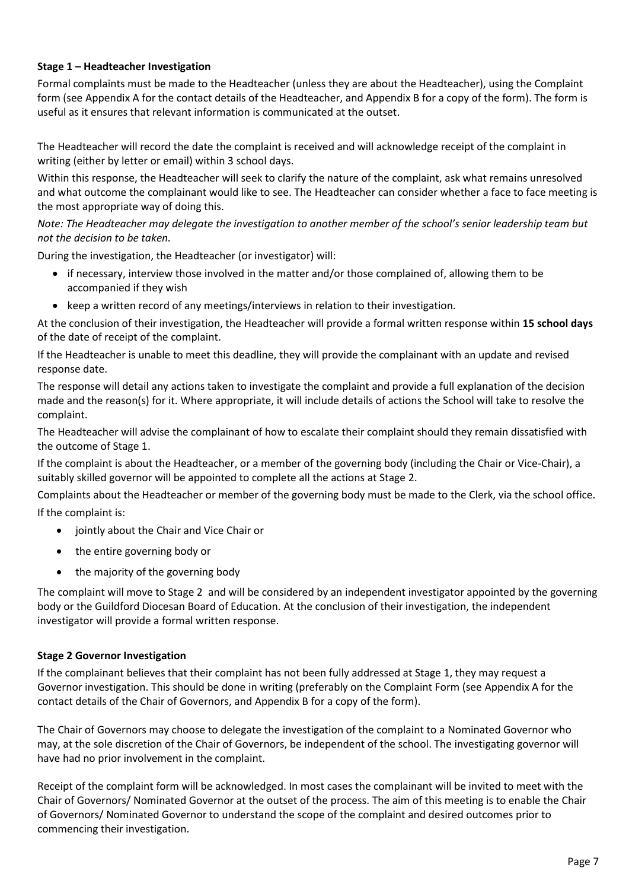# **Stage 1 – Headteacher Investigation**

Formal complaints must be made to the Headteacher (unless they are about the Headteacher), using the Complaint form (see Appendix A for the contact details of the Headteacher, and Appendix B for a copy of the form). The form is useful as it ensures that relevant information is communicated at the outset.

The Headteacher will record the date the complaint is received and will acknowledge receipt of the complaint in writing (either by letter or email) within 3 school days.

Within this response, the Headteacher will seek to clarify the nature of the complaint, ask what remains unresolved and what outcome the complainant would like to see. The Headteacher can consider whether a face to face meeting is the most appropriate way of doing this.

*Note: The Headteacher may delegate the investigation to another member of the school's senior leadership team but not the decision to be taken.*

During the investigation, the Headteacher (or investigator) will:

- if necessary, interview those involved in the matter and/or those complained of, allowing them to be accompanied if they wish
- keep a written record of any meetings/interviews in relation to their investigation.

At the conclusion of their investigation, the Headteacher will provide a formal written response within **15 school days** of the date of receipt of the complaint.

If the Headteacher is unable to meet this deadline, they will provide the complainant with an update and revised response date.

The response will detail any actions taken to investigate the complaint and provide a full explanation of the decision made and the reason(s) for it. Where appropriate, it will include details of actions the School will take to resolve the complaint.

The Headteacher will advise the complainant of how to escalate their complaint should they remain dissatisfied with the outcome of Stage 1.

If the complaint is about the Headteacher, or a member of the governing body (including the Chair or Vice-Chair), a suitably skilled governor will be appointed to complete all the actions at Stage 2.

Complaints about the Headteacher or member of the governing body must be made to the Clerk, via the school office. If the complaint is:

- jointly about the Chair and Vice Chair or
- the entire governing body or
- the majority of the governing body

The complaint will move to Stage 2 and will be considered by an independent investigator appointed by the governing body or the Guildford Diocesan Board of Education. At the conclusion of their investigation, the independent investigator will provide a formal written response.

# **Stage 2 Governor Investigation**

If the complainant believes that their complaint has not been fully addressed at Stage 1, they may request a Governor investigation. This should be done in writing (preferably on the Complaint Form (see Appendix A for the contact details of the Chair of Governors, and Appendix B for a copy of the form).

The Chair of Governors may choose to delegate the investigation of the complaint to a Nominated Governor who may, at the sole discretion of the Chair of Governors, be independent of the school. The investigating governor will have had no prior involvement in the complaint.

Receipt of the complaint form will be acknowledged. In most cases the complainant will be invited to meet with the Chair of Governors/ Nominated Governor at the outset of the process. The aim of this meeting is to enable the Chair of Governors/ Nominated Governor to understand the scope of the complaint and desired outcomes prior to commencing their investigation.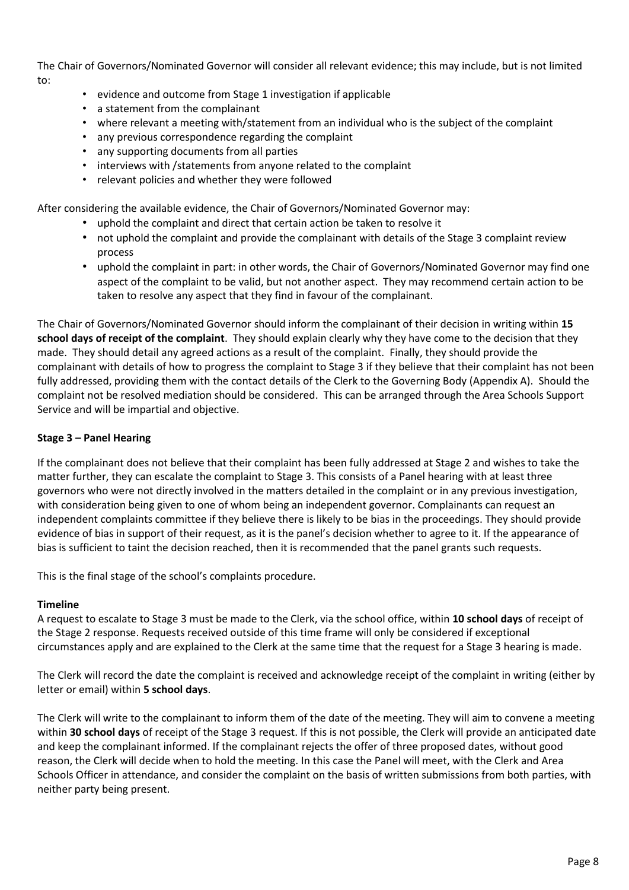The Chair of Governors/Nominated Governor will consider all relevant evidence; this may include, but is not limited to:

- evidence and outcome from Stage 1 investigation if applicable
- a statement from the complainant
- where relevant a meeting with/statement from an individual who is the subject of the complaint
- any previous correspondence regarding the complaint
- any supporting documents from all parties
- interviews with /statements from anyone related to the complaint
- relevant policies and whether they were followed

After considering the available evidence, the Chair of Governors/Nominated Governor may:

- uphold the complaint and direct that certain action be taken to resolve it
- not uphold the complaint and provide the complainant with details of the Stage 3 complaint review process
- uphold the complaint in part: in other words, the Chair of Governors/Nominated Governor may find one aspect of the complaint to be valid, but not another aspect. They may recommend certain action to be taken to resolve any aspect that they find in favour of the complainant.

The Chair of Governors/Nominated Governor should inform the complainant of their decision in writing within **15 school days of receipt of the complaint**. They should explain clearly why they have come to the decision that they made. They should detail any agreed actions as a result of the complaint. Finally, they should provide the complainant with details of how to progress the complaint to Stage 3 if they believe that their complaint has not been fully addressed, providing them with the contact details of the Clerk to the Governing Body (Appendix A). Should the complaint not be resolved mediation should be considered. This can be arranged through the Area Schools Support Service and will be impartial and objective.

# **Stage 3 – Panel Hearing**

If the complainant does not believe that their complaint has been fully addressed at Stage 2 and wishes to take the matter further, they can escalate the complaint to Stage 3. This consists of a Panel hearing with at least three governors who were not directly involved in the matters detailed in the complaint or in any previous investigation, with consideration being given to one of whom being an independent governor. Complainants can request an independent complaints committee if they believe there is likely to be bias in the [proceedings.](https://www.gov.uk/government/publications/school-complaints-procedures/best-practice-advice-for-school-complaints-procedures-2019#bias-in-the-proceedings) They should provide evidence of bias in support of their request, as it is the panel's decision whether to agree to it. If the appearance of bias is sufficient to taint the decision reached, then it is recommended that the panel grants such requests.

This is the final stage of the school's complaints procedure.

# **Timeline**

A request to escalate to Stage 3 must be made to the Clerk, via the school office, within **10 school days** of receipt of the Stage 2 response. Requests received outside of this time frame will only be considered if exceptional circumstances apply and are explained to the Clerk at the same time that the request for a Stage 3 hearing is made.

The Clerk will record the date the complaint is received and acknowledge receipt of the complaint in writing (either by letter or email) within **5 school days**.

The Clerk will write to the complainant to inform them of the date of the meeting. They will aim to convene a meeting within **30 school days** of receipt of the Stage 3 request. If this is not possible, the Clerk will provide an anticipated date and keep the complainant informed. If the complainant rejects the offer of three proposed dates, without good reason, the Clerk will decide when to hold the meeting. In this case the Panel will meet, with the Clerk and Area Schools Officer in attendance, and consider the complaint on the basis of written submissions from both parties, with neither party being present.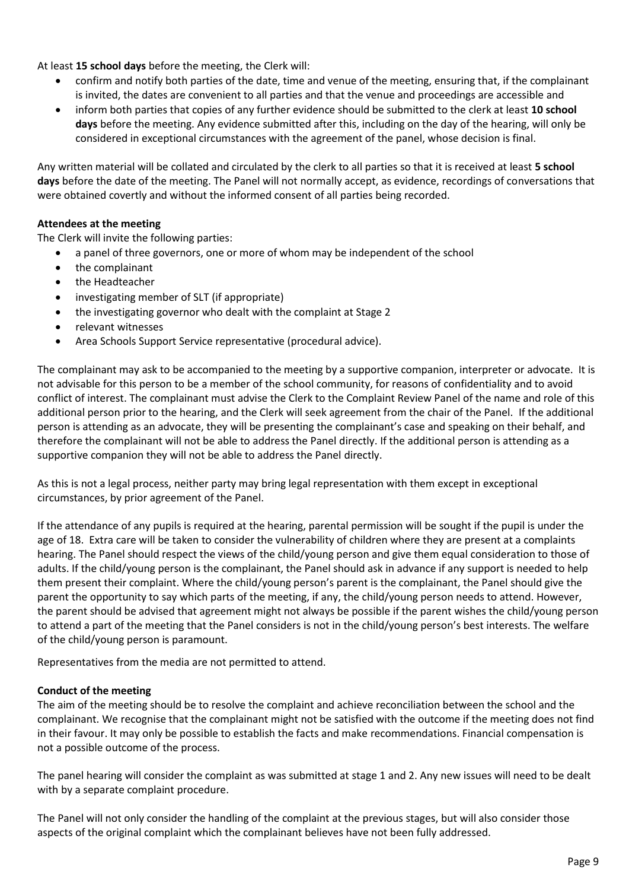At least **15 school days** before the meeting, the Clerk will:

- confirm and notify both parties of the date, time and venue of the meeting, ensuring that, if the complainant is invited, the dates are convenient to all parties and that the venue and proceedings are accessible and
- inform both parties that copies of any further evidence should be submitted to the clerk at least **10 school days** before the meeting. Any evidence submitted after this, including on the day of the hearing, will only be considered in exceptional circumstances with the agreement of the panel, whose decision is final.

Any written material will be collated and circulated by the clerk to all parties so that it is received at least **5 school days** before the date of the meeting. The Panel will not normally accept, as evidence, recordings of conversations that were obtained covertly and without the informed consent of all parties being recorded.

## **Attendees at the meeting**

The Clerk will invite the following parties:

- a panel of three governors, one or more of whom may be independent of the school
- the complainant
- the Headteacher
- investigating member of SLT (if appropriate)
- the investigating governor who dealt with the complaint at Stage 2
- relevant witnesses
- Area Schools Support Service representative (procedural advice).

The complainant may ask to be accompanied to the meeting by a supportive companion, interpreter or advocate. It is not advisable for this person to be a member of the school community, for reasons of confidentiality and to avoid conflict of interest. The complainant must advise the Clerk to the Complaint Review Panel of the name and role of this additional person prior to the hearing, and the Clerk will seek agreement from the chair of the Panel. If the additional person is attending as an advocate, they will be presenting the complainant's case and speaking on their behalf, and therefore the complainant will not be able to address the Panel directly. If the additional person is attending as a supportive companion they will not be able to address the Panel directly.

As this is not a legal process, neither party may bring legal representation with them except in exceptional circumstances, by prior agreement of the Panel.

If the attendance of any pupils is required at the hearing, parental permission will be sought if the pupil is under the age of 18. Extra care will be taken to consider the vulnerability of children where they are present at a complaints hearing. The Panel should respect the views of the child/young person and give them equal consideration to those of adults. If the child/young person is the complainant, the Panel should ask in advance if any support is needed to help them present their complaint. Where the child/young person's parent is the complainant, the Panel should give the parent the opportunity to say which parts of the meeting, if any, the child/young person needs to attend. However, the parent should be advised that agreement might not always be possible if the parent wishes the child/young person to attend a part of the meeting that the Panel considers is not in the child/young person's best interests. The welfare of the child/young person is paramount.

Representatives from the media are not permitted to attend.

## **Conduct of the meeting**

The aim of the meeting should be to resolve the complaint and achieve reconciliation between the school and the complainant. We recognise that the complainant might not be satisfied with the outcome if the meeting does not find in their favour. It may only be possible to establish the facts and make recommendations. Financial compensation is not a possible outcome of the process.

The panel hearing will consider the complaint as was submitted at stage 1 and 2. Any new issues will need to be dealt with by a separate complaint procedure.

The Panel will not only consider the handling of the complaint at the previous stages, but will also consider those aspects of the original complaint which the complainant believes have not been fully addressed.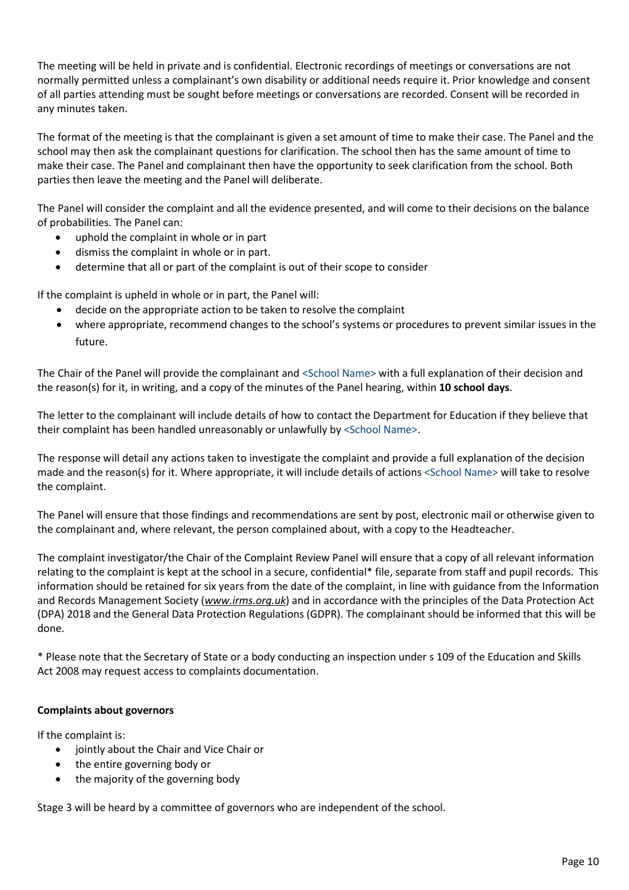The meeting will be held in private and is confidential. Electronic recordings of meetings or conversations are not normally permitted unless a complainant's own disability or additional needs require it. Prior knowledge and consent of all parties attending must be sought before meetings or conversations are recorded. Consent will be recorded in any minutes taken.

The format of the meeting is that the complainant is given a set amount of time to make their case. The Panel and the school may then ask the complainant questions for clarification. The school then has the same amount of time to make their case. The Panel and complainant then have the opportunity to seek clarification from the school. Both parties then leave the meeting and the Panel will deliberate.

The Panel will consider the complaint and all the evidence presented, and will come to their decisions on the balance of probabilities. The Panel can:

- uphold the complaint in whole or in part
- dismiss the complaint in whole or in part.
- determine that all or part of the complaint is out of their scope to consider

If the complaint is upheld in whole or in part, the Panel will:

- decide on the appropriate action to be taken to resolve the complaint
- where appropriate, recommend changes to the school's systems or procedures to prevent similar issues in the future.

The Chair of the Panel will provide the complainant and <School Name> with a full explanation of their decision and the reason(s) for it, in writing, and a copy of the minutes of the Panel hearing, within **10 school days**.

The letter to the complainant will include details of how to contact the Department for Education if they believe that their complaint has been handled unreasonably or unlawfully by <School Name>.

The response will detail any actions taken to investigate the complaint and provide a full explanation of the decision made and the reason(s) for it. Where appropriate, it will include details of actions <School Name> will take to resolve the complaint.

The Panel will ensure that those findings and recommendations are sent by post, electronic mail or otherwise given to the complainant and, where relevant, the person complained about, with a copy to the Headteacher.

The complaint investigator/the Chair of the Complaint Review Panel will ensure that a copy of all relevant information relating to the complaint is kept at the school in a secure, confidential\* file, separate from staff and pupil records. This information should be retained for six years from the date of the complaint, in line with guidance from the Information and Records Management Society (*[www.irms.org.uk](http://www.irms.org.uk/)*) and in accordance with the principles of the Data Protection Act (DPA) 2018 and the General Data Protection Regulations (GDPR). The complainant should be informed that this will be done.

\* Please note that the Secretary of State or a body conducting an inspection under s 109 of the Education and Skills Act 2008 may request access to complaints documentation.

## **Complaints about governors**

If the complaint is:

- jointly about the Chair and Vice Chair or
- the entire governing body or
- the majority of the governing body

Stage 3 will be heard by a committee of governors who are independent of the school.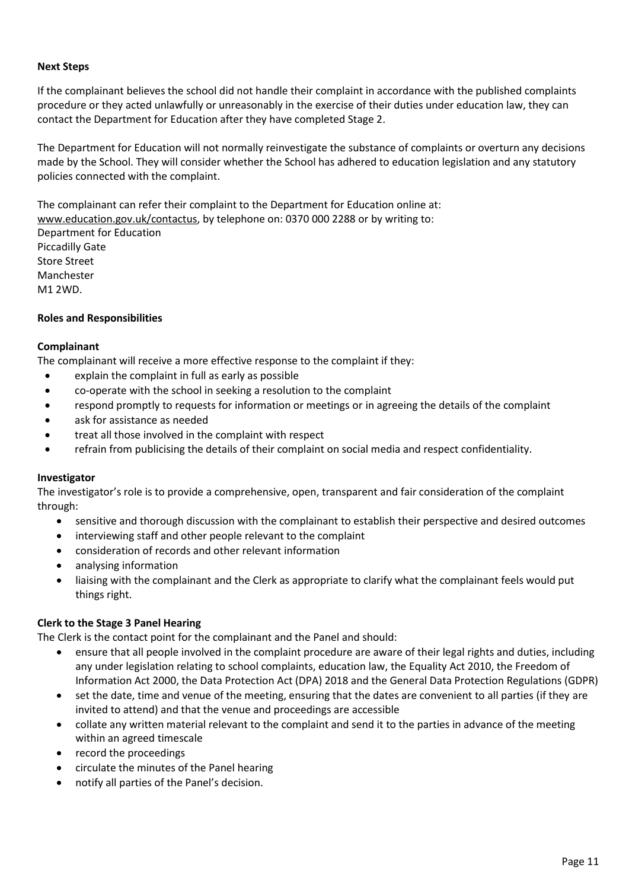#### **Next Steps**

If the complainant believes the school did not handle their complaint in accordance with the published complaints procedure or they acted unlawfully or unreasonably in the exercise of their duties under education law, they can contact the Department for Education after they have completed Stage 2.

The Department for Education will not normally reinvestigate the substance of complaints or overturn any decisions made by the School. They will consider whether the School has adhered to education legislation and any statutory policies connected with the complaint.

The complainant can refer their complaint to the Department for Education online at: [www.education.gov.uk/contactus,](http://www.education.gov.uk/contactus) by telephone on: 0370 000 2288 or by writing to:

Department for Education Piccadilly Gate Store Street Manchester M1 2WD.

## **Roles and Responsibilities**

## **Complainant**

The complainant will receive a more effective response to the complaint if they:

- explain the complaint in full as early as possible
- co-operate with the school in seeking a resolution to the complaint
- respond promptly to requests for information or meetings or in agreeing the details of the complaint
- ask for assistance as needed
- treat all those involved in the complaint with respect
- refrain from publicising the details of their complaint on social media and respect confidentiality.

## **Investigator**

The investigator's role is to provide a comprehensive, open, transparent and fair consideration of the complaint through:

- sensitive and thorough discussion with the complainant to establish their perspective and desired outcomes
- interviewing staff and other people relevant to the complaint
- consideration of records and other relevant information
- analysing information
- liaising with the complainant and the Clerk as appropriate to clarify what the complainant feels would put things right.

## **Clerk to the Stage 3 Panel Hearing**

The Clerk is the contact point for the complainant and the Panel and should:

- ensure that all people involved in the complaint procedure are aware of their legal rights and duties, including any under legislation relating to school complaints, education law, the Equality Act 2010, the Freedom of Information Act 2000, the Data Protection Act (DPA) 2018 and the General Data Protection Regulations (GDPR)
- set the date, time and venue of the meeting, ensuring that the dates are convenient to all parties (if they are invited to attend) and that the venue and proceedings are accessible
- collate any written material relevant to the complaint and send it to the parties in advance of the meeting within an agreed timescale
- record the proceedings
- circulate the minutes of the Panel hearing
- notify all parties of the Panel's decision.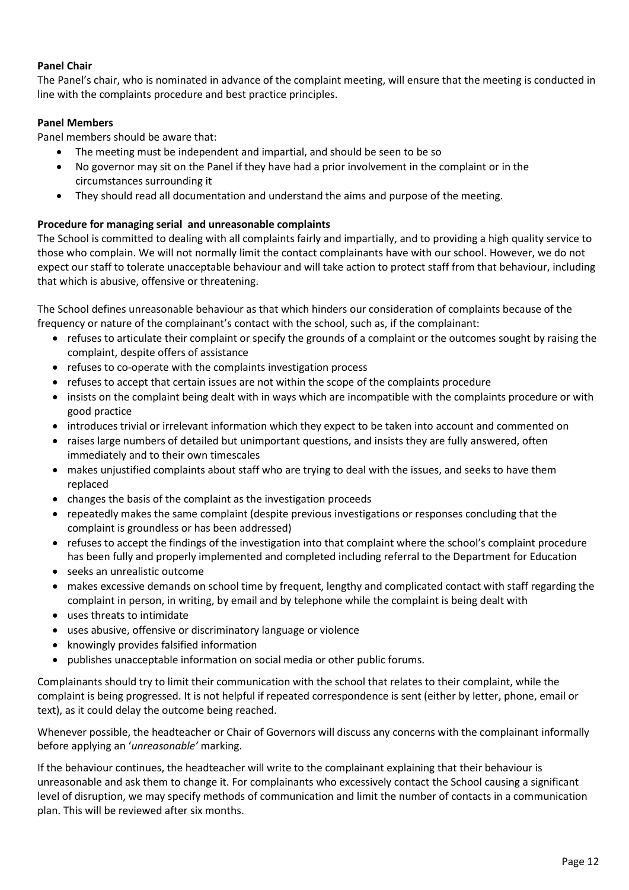# **Panel Chair**

The Panel's chair, who is nominated in advance of the complaint meeting, will ensure that the meeting is conducted in line with the complaints procedure and best practice principles.

# **Panel Members**

Panel members should be aware that:

- The meeting must be independent and impartial, and should be seen to be so
- No governor may sit on the Panel if they have had a prior involvement in the complaint or in the circumstances surrounding it
- They should read all documentation and understand the aims and purpose of the meeting.

## **Procedure for managing serial and unreasonable complaints**

The School is committed to dealing with all complaints fairly and impartially, and to providing a high quality service to those who complain. We will not normally limit the contact complainants have with our school. However, we do not expect our staff to tolerate unacceptable behaviour and will take action to protect staff from that behaviour, including that which is abusive, offensive or threatening.

The School defines unreasonable behaviour as that which hinders our consideration of complaints because of the frequency or nature of the complainant's contact with the school, such as, if the complainant:

- refuses to articulate their complaint or specify the grounds of a complaint or the outcomes sought by raising the complaint, despite offers of assistance
- refuses to co-operate with the complaints investigation process
- refuses to accept that certain issues are not within the scope of the complaints procedure
- insists on the complaint being dealt with in ways which are incompatible with the complaints procedure or with good practice
- introduces trivial or irrelevant information which they expect to be taken into account and commented on
- raises large numbers of detailed but unimportant questions, and insists they are fully answered, often immediately and to their own timescales
- makes unjustified complaints about staff who are trying to deal with the issues, and seeks to have them replaced
- changes the basis of the complaint as the investigation proceeds
- repeatedly makes the same complaint (despite previous investigations or responses concluding that the complaint is groundless or has been addressed)
- refuses to accept the findings of the investigation into that complaint where the school's complaint procedure has been fully and properly implemented and completed including referral to the Department for Education
- seeks an unrealistic outcome
- makes excessive demands on school time by frequent, lengthy and complicated contact with staff regarding the complaint in person, in writing, by email and by telephone while the complaint is being dealt with
- uses threats to intimidate
- uses abusive, offensive or discriminatory language or violence
- knowingly provides falsified information
- publishes unacceptable information on social media or other public forums.

Complainants should try to limit their communication with the school that relates to their complaint, while the complaint is being progressed. It is not helpful if repeated correspondence is sent (either by letter, phone, email or text), as it could delay the outcome being reached.

Whenever possible, the headteacher or Chair of Governors will discuss any concerns with the complainant informally before applying an '*unreasonable'* marking.

If the behaviour continues, the headteacher will write to the complainant explaining that their behaviour is unreasonable and ask them to change it. For complainants who excessively contact the School causing a significant level of disruption, we may specify methods of communication and limit the number of contacts in a communication plan. This will be reviewed after six months.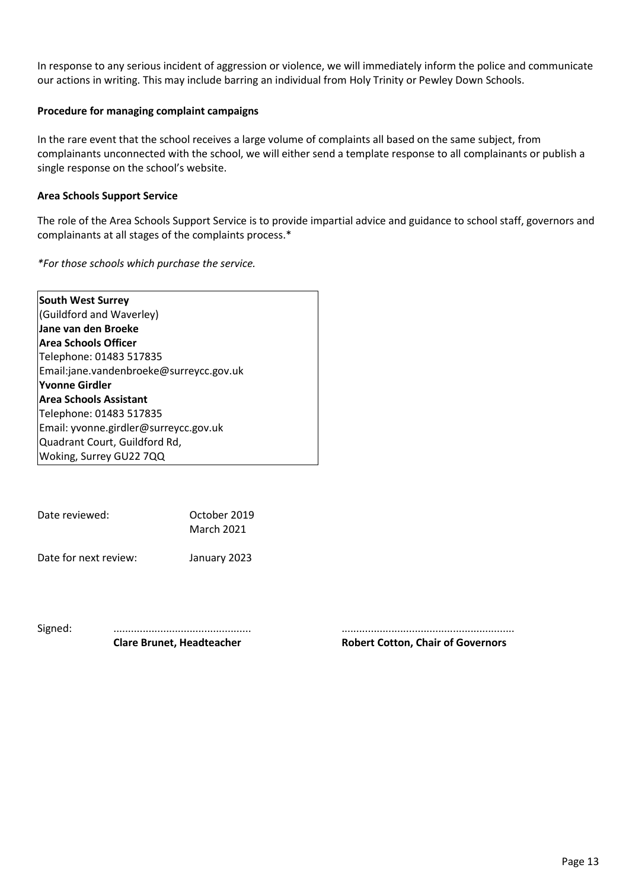In response to any serious incident of aggression or violence, we will immediately inform the police and communicate our actions in writing. This may include barring an individual from Holy Trinity or Pewley Down Schools.

## **Procedure for managing complaint campaigns**

In the rare event that the school receives a large volume of complaints all based on the same subject, from complainants unconnected with the school, we will either send a template response to all complainants or publish a single response on the school's website.

## **Area Schools Support Service**

The role of the Area Schools Support Service is to provide impartial advice and guidance to school staff, governors and complainants at all stages of the complaints process.\*

*\*For those schools which purchase the service.*

| <b>South West Surrey</b>                |
|-----------------------------------------|
| (Guildford and Waverley)                |
| Jane van den Broeke                     |
| <b>Area Schools Officer</b>             |
| Telephone: 01483 517835                 |
| Email:jane.vandenbroeke@surreycc.gov.uk |
| Yvonne Girdler                          |
| <b>Area Schools Assistant</b>           |
| Telephone: 01483 517835                 |
| Email: yvonne.girdler@surreycc.gov.uk   |
| Quadrant Court, Guildford Rd,           |
| Woking, Surrey GU22 7QQ                 |

| Date reviewed:        | October 2019<br>March 2021 |  |  |
|-----------------------|----------------------------|--|--|
| Date for next review: | January 2023               |  |  |

**Clare Brunet, Headteacher Robert Cotton, Chair of Governors**

Signed: ............................................... ...........................................................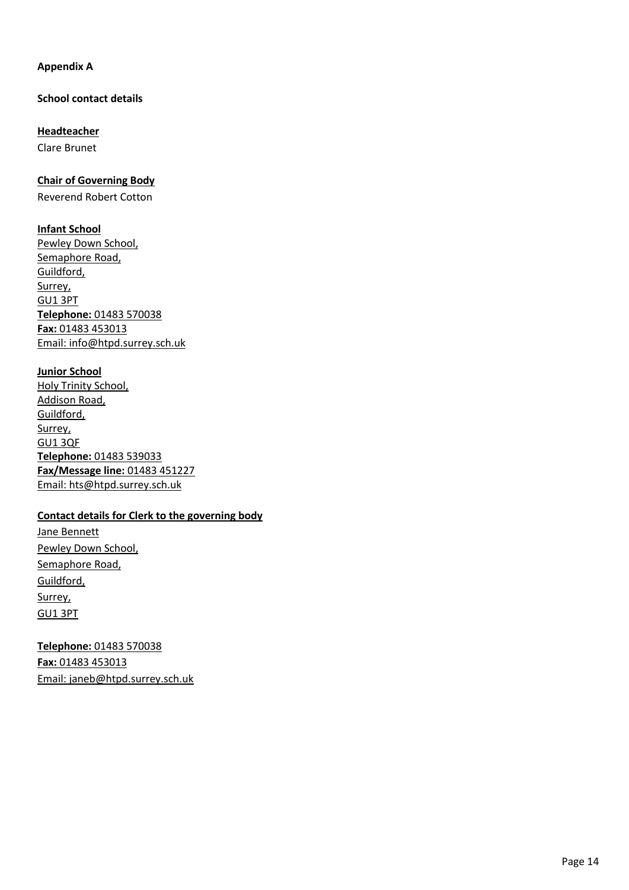## **Appendix A**

**School contact details**

**Headteacher** Clare Brunet

**Chair of Governing Body**

Reverend Robert Cotton

**Infant School**

Pewley Down School, Semaphore Road, Guildford, Surrey, GU1 3PT **Telephone:** 01483 570038 **Fax:** 01483 453013 Email: [info@htpd.surrey.sch.uk](mailto:info@htpd.surrey.sch.uk)

**Junior School** Holy Trinity School, Addison Road, Guildford, Surrey, GU1 3QF **Telephone:** 01483 539033 **Fax/Message line:** 01483 451227 Email: [hts@htpd.surrey.sch.uk](mailto:hts@htpd.surrey.sch.uk)

# **Contact details for Clerk to the governing body**

Jane Bennett Pewley Down School, Semaphore Road, Guildford, Surrey, GU1 3PT

**Telephone:** 01483 570038 **Fax:** 01483 453013 Email: janeb@htpd.surrey.sch.uk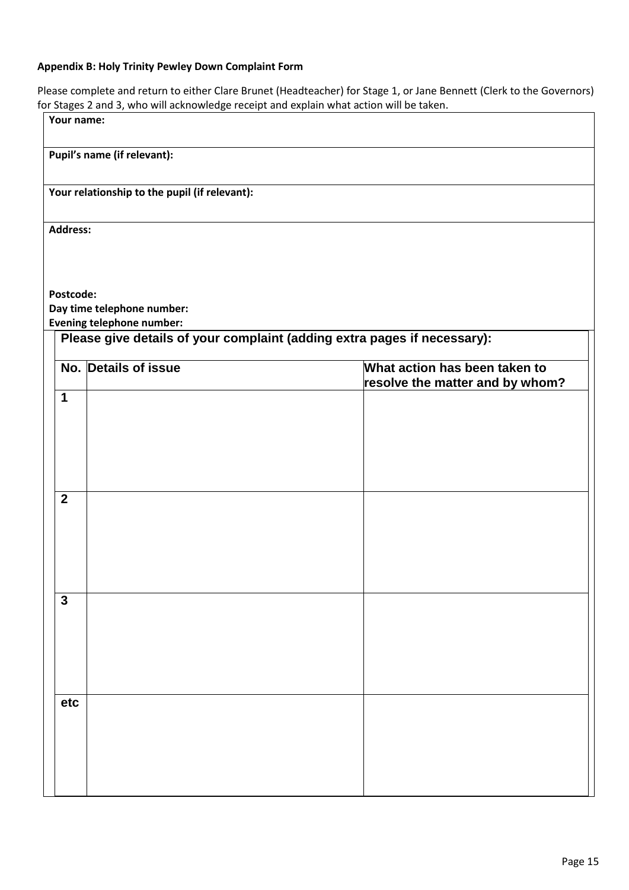# **Appendix B: Holy Trinity Pewley Down Complaint Form**

Please complete and return to either Clare Brunet (Headteacher) for Stage 1, or Jane Bennett (Clerk to the Governors) for Stages 2 and 3, who will acknowledge receipt and explain what action will be taken.

| Your name:      |                                                                                                              |                                                                  |
|-----------------|--------------------------------------------------------------------------------------------------------------|------------------------------------------------------------------|
|                 | Pupil's name (if relevant):                                                                                  |                                                                  |
|                 | Your relationship to the pupil (if relevant):                                                                |                                                                  |
| <b>Address:</b> |                                                                                                              |                                                                  |
|                 |                                                                                                              |                                                                  |
| Postcode:       | Day time telephone number:                                                                                   |                                                                  |
|                 | <b>Evening telephone number:</b><br>Please give details of your complaint (adding extra pages if necessary): |                                                                  |
|                 | No. Details of issue                                                                                         | What action has been taken to<br>resolve the matter and by whom? |
| $\mathbf 1$     |                                                                                                              |                                                                  |
|                 |                                                                                                              |                                                                  |
| $\overline{2}$  |                                                                                                              |                                                                  |
|                 |                                                                                                              |                                                                  |
|                 |                                                                                                              |                                                                  |
| $\mathbf{3}$    |                                                                                                              |                                                                  |
|                 |                                                                                                              |                                                                  |
|                 |                                                                                                              |                                                                  |
| etc             |                                                                                                              |                                                                  |
|                 |                                                                                                              |                                                                  |
|                 |                                                                                                              |                                                                  |